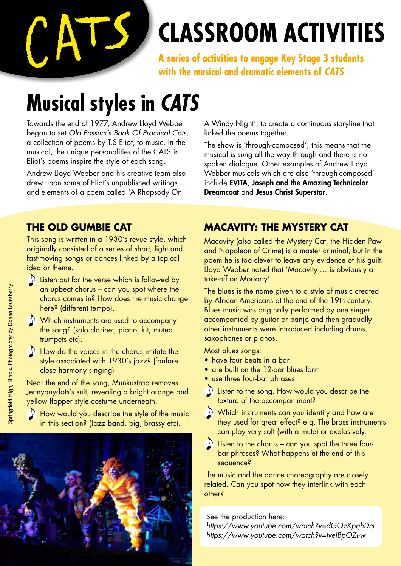

# **Classroom activities**

**A series of activities to engage Key Stage 3 students with the musical and dramatic elements of** *CATS*

### **Musical styles in** *CATS*

Towards the end of 1977, Andrew Lloyd Webber began to set *Old Possum's Book Of Practical Cats*, a collection of poems by T.S Eliot, to music. In the musical, the unique personalities of the CATS in Eliot's poems inspire the style of each song.

Andrew Lloyd Webber and his creative team also drew upon some of Eliot's unpublished writings and elements of a poem called 'A Rhapsody On

A Windy Night', to create a continuous storyline that linked the poems together.

The show is 'through-composed', this means that the musical is sung all the way through and there is no spoken dialogue. Other examples of Andrew Lloyd Webber musicals which are also 'through-composed' include EVITA, Joseph and the Amazing Technicolor Dreamcoat and Jesus Christ Superstar.

#### **THE Old Gumbie Cat**

This song is written in a 1930's revue style, which originally consisted of a series of short, light and fast-moving songs or dances linked by a topical idea or theme.

- $\sum$  Listen out for the verse which is followed by an upbeat chorus – can you spot where the chorus comes in? How does the music change here? (different tempo).
- $\Omega$  Which instruments are used to accompany the song? (solo clarinet, piano, kit, muted trumpets etc).
- $\sum$  How do the voices in the chorus imitate the style associated with 1930's jazz? (fanfare close harmony singing)

Near the end of the song, Munkustrap removes Jennyanydots's suit, revealing a bright orange and yellow flapper style costume underneath.

 $\mathbb{R}$  How would you describe the style of the music in this section? (Jazz band, big, brassy etc).



#### **Macavity: the mystery cat**

Macavity (also called the Mystery Cat, the Hidden Paw and Napoleon of Crime) is a master criminal, but in the poem he is too clever to leave any evidence of his guilt. Lloyd Webber noted that 'Macavity … is obviously a take-off on Moriarty'.

The blues is the name given to a style of music created by African-Americans at the end of the 19th century. Blues music was originally performed by one singer accompanied by guitar or banjo and then gradually other instruments were introduced including drums, saxophones or pianos.

Most blues songs:

- have four beats in a bar
- are built on the 12-bar blues form
- use three four-bar phrases
- $\sum$  Listen to the song. How would you describe the texture of the accompaniment?
- $\mathbb{D}$  Which instruments can you identify and how are they used for great effect? e.g. The brass instruments can play very soft (with a mute) or explosively.



 $\Omega$  Listen to the chorus – can you spot the three fourbar phrases? What happens at the end of this sequence?

The music and the dance choreography are closely related. Can you spot how they interlink with each other?

See the production here:

*https://www.youtube.com/watch?v=dGQzKpqhDrs https://www.youtube.com/watch?v=tveIBpOZi-w*